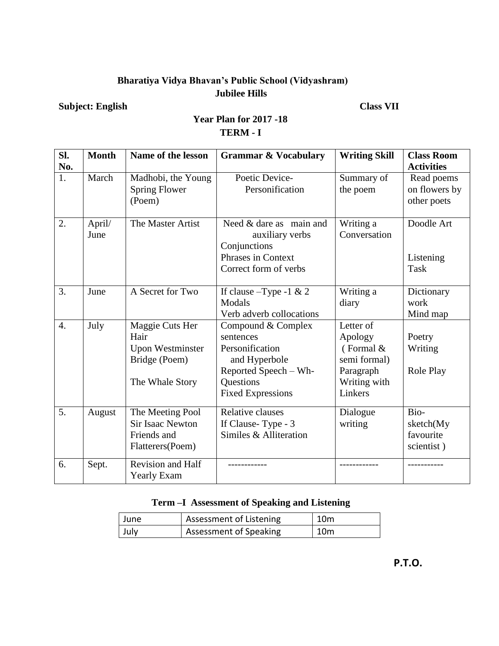#### **Bharatiya Vidya Bhavan's Public School (Vidyashram) Jubilee Hills**

**Subject: English Class VII**

| Sl.<br>No.       | <b>Month</b>   | Name of the lesson                                                                     | <b>Grammar &amp; Vocabulary</b>                                                                                                       | <b>Writing Skill</b>                                                                        | <b>Class Room</b><br><b>Activities</b>       |
|------------------|----------------|----------------------------------------------------------------------------------------|---------------------------------------------------------------------------------------------------------------------------------------|---------------------------------------------------------------------------------------------|----------------------------------------------|
| 1.               | March          | Madhobi, the Young<br><b>Spring Flower</b><br>(Poem)                                   | Poetic Device-<br>Personification                                                                                                     | Summary of<br>the poem                                                                      | Read poems<br>on flowers by<br>other poets   |
| 2.               | April/<br>June | The Master Artist                                                                      | Need & dare as main and<br>auxiliary verbs<br>Conjunctions<br><b>Phrases in Context</b><br>Correct form of verbs                      | Writing a<br>Conversation                                                                   | Doodle Art<br>Listening<br><b>Task</b>       |
| 3.               | June           | A Secret for Two                                                                       | If clause $-Type -1 & 2$<br>Modals<br>Verb adverb collocations                                                                        | Writing a<br>diary                                                                          | Dictionary<br>work<br>Mind map               |
| $\overline{4}$ . | July           | Maggie Cuts Her<br>Hair<br><b>Upon Westminster</b><br>Bridge (Poem)<br>The Whale Story | Compound & Complex<br>sentences<br>Personification<br>and Hyperbole<br>Reported Speech – Wh-<br>Questions<br><b>Fixed Expressions</b> | Letter of<br>Apology<br>(Formal $&$<br>semi formal)<br>Paragraph<br>Writing with<br>Linkers | Poetry<br>Writing<br>Role Play               |
| 5.               | August         | The Meeting Pool<br><b>Sir Isaac Newton</b><br>Friends and<br>Flatterers(Poem)         | <b>Relative clauses</b><br>If Clause-Type - 3<br>Similes & Alliteration                                                               | Dialogue<br>writing                                                                         | Bio-<br>sketch(My<br>favourite<br>scientist) |
| 6.               | Sept.          | Revision and Half<br>Yearly Exam                                                       |                                                                                                                                       |                                                                                             |                                              |

### **Year Plan for 2017 -18 TERM - I**

#### **Term –I Assessment of Speaking and Listening**

| June | Assessment of Listening | $\vert$ 10 $m$  |
|------|-------------------------|-----------------|
| July | Assessment of Speaking  | 10 <sub>m</sub> |

 **P.T.O.**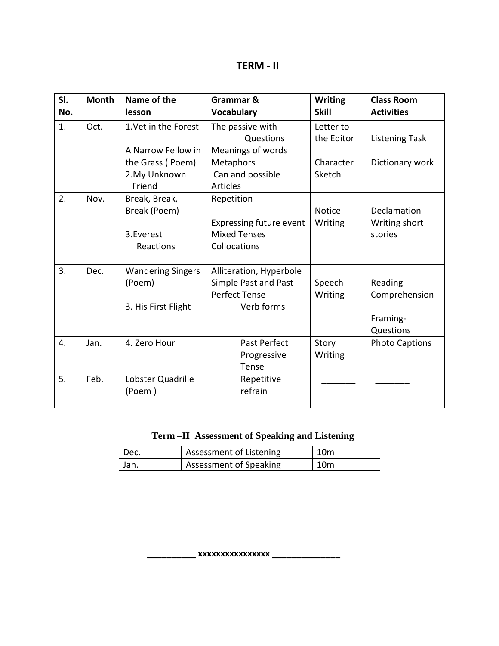| SI. | <b>Month</b> | Name of the              | Grammar &               | <b>Writing</b> | <b>Class Room</b>     |
|-----|--------------|--------------------------|-------------------------|----------------|-----------------------|
| No. |              | lesson                   | <b>Vocabulary</b>       | <b>Skill</b>   | <b>Activities</b>     |
| 1.  | Oct.         | 1. Vet in the Forest     | The passive with        | Letter to      |                       |
|     |              |                          | Questions               | the Editor     | <b>Listening Task</b> |
|     |              | A Narrow Fellow in       | Meanings of words       |                |                       |
|     |              | the Grass (Poem)         | Metaphors               | Character      | Dictionary work       |
|     |              | 2. My Unknown            | Can and possible        | Sketch         |                       |
|     |              | Friend                   | <b>Articles</b>         |                |                       |
| 2.  | Nov.         | Break, Break,            | Repetition              |                |                       |
|     |              | Break (Poem)             |                         | <b>Notice</b>  | Declamation           |
|     |              |                          | Expressing future event | Writing        | Writing short         |
|     |              | 3.Everest                | <b>Mixed Tenses</b>     |                | stories               |
|     |              | Reactions                | Collocations            |                |                       |
|     |              |                          |                         |                |                       |
| 3.  | Dec.         | <b>Wandering Singers</b> | Alliteration, Hyperbole |                |                       |
|     |              | (Poem)                   | Simple Past and Past    | Speech         | Reading               |
|     |              |                          | <b>Perfect Tense</b>    | Writing        | Comprehension         |
|     |              | 3. His First Flight      | Verb forms              |                |                       |
|     |              |                          |                         |                | Framing-              |
|     |              |                          |                         |                | Questions             |
| 4.  | Jan.         | 4. Zero Hour             | Past Perfect            | Story          | <b>Photo Captions</b> |
|     |              |                          | Progressive             | Writing        |                       |
|     |              |                          | Tense                   |                |                       |
| 5.  | Feb.         | Lobster Quadrille        | Repetitive              |                |                       |
|     |              | (Poem)                   | refrain                 |                |                       |
|     |              |                          |                         |                |                       |

| Term - II Assessment of Speaking and Listening |  |
|------------------------------------------------|--|
|                                                |  |

| Dec. | Assessment of Listening       | 10m |
|------|-------------------------------|-----|
| Jan. | <b>Assessment of Speaking</b> | 10m |

 **\_\_\_\_\_\_\_\_\_\_ xxxxxxxxxxxxxxxx \_\_\_\_\_\_\_\_\_\_\_\_\_\_**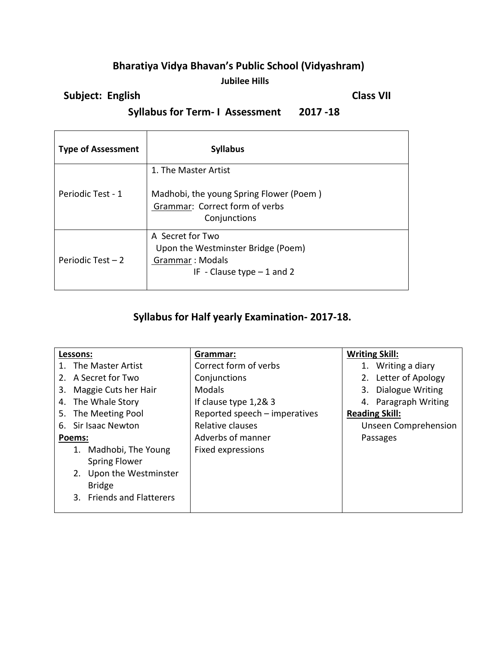### **Bharatiya Vidya Bhavan's Public School (Vidyashram) Jubilee Hills**

## **Subject: English Class VII**

 **Syllabus for Term- I Assessment 2017 -18** 

| <b>Type of Assessment</b> | <b>Syllabus</b>                                                                                                   |
|---------------------------|-------------------------------------------------------------------------------------------------------------------|
| Periodic Test - 1         | 1. The Master Artist<br>Madhobi, the young Spring Flower (Poem)<br>Grammar: Correct form of verbs<br>Conjunctions |
| Periodic Test $-2$        | A Secret for Two<br>Upon the Westminster Bridge (Poem)<br>Grammar: Modals<br>IF - Clause type $-1$ and 2          |

## **Syllabus for Half yearly Examination- 2017-18.**

| Lessons:                   | Grammar:                      | <b>Writing Skill:</b> |
|----------------------------|-------------------------------|-----------------------|
| 1. The Master Artist       | Correct form of verbs         | 1. Writing a diary    |
| 2. A Secret for Two        | Conjunctions                  | 2. Letter of Apology  |
| Maggie Cuts her Hair<br>3. | <b>Modals</b>                 | 3. Dialogue Writing   |
| The Whale Story<br>4.      | If clause type 1,2& 3         | 4. Paragraph Writing  |
| The Meeting Pool<br>5.     | Reported speech - imperatives | <b>Reading Skill:</b> |
| Sir Isaac Newton<br>6.     | Relative clauses              | Unseen Comprehension  |
| Poems:                     | Adverbs of manner             | Passages              |
| 1. Madhobi, The Young      | <b>Fixed expressions</b>      |                       |
| <b>Spring Flower</b>       |                               |                       |
| 2. Upon the Westminster    |                               |                       |
| <b>Bridge</b>              |                               |                       |
| 3. Friends and Flatterers  |                               |                       |
|                            |                               |                       |